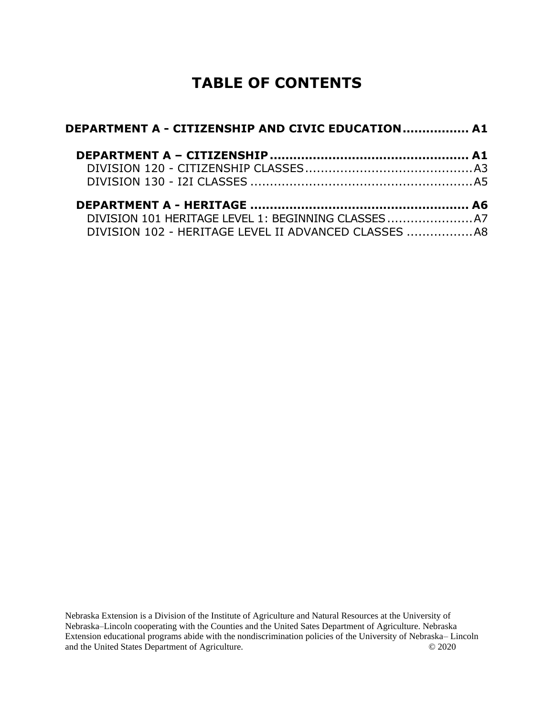# **TABLE OF CONTENTS**

| DEPARTMENT A - CITIZENSHIP AND CIVIC EDUCATION A1 |  |
|---------------------------------------------------|--|
|                                                   |  |
|                                                   |  |
|                                                   |  |
|                                                   |  |
|                                                   |  |
|                                                   |  |

Nebraska Extension is a Division of the Institute of Agriculture and Natural Resources at the University of Nebraska–Lincoln cooperating with the Counties and the United Sates Department of Agriculture. Nebraska Extension educational programs abide with the nondiscrimination policies of the University of Nebraska– Lincoln and the United States Department of Agriculture. © 2020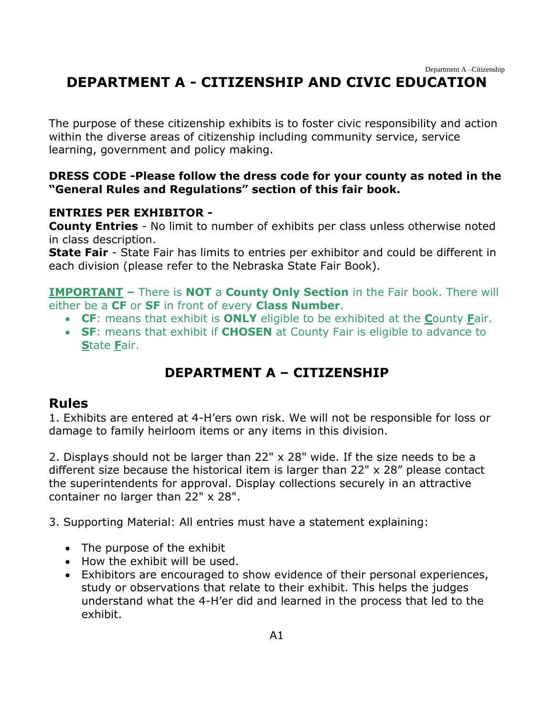# <span id="page-1-0"></span>**DEPARTMENT A - CITIZENSHIP AND CIVIC EDUCATION**

The purpose of these citizenship exhibits is to foster civic responsibility and action within the diverse areas of citizenship including community service, service learning, government and policy making.

#### **DRESS CODE -Please follow the dress code for your county as noted in the "General Rules and Regulations" section of this fair book.**

#### **ENTRIES PER EXHIBITOR -**

**County Entries** - No limit to number of exhibits per class unless otherwise noted in class description.

**State Fair** - State Fair has limits to entries per exhibitor and could be different in each division (please refer to the Nebraska State Fair Book).

**IMPORTANT –** There is **NOT** a **County Only Section** in the Fair book. There will either be a **CF** or **SF** in front of every **Class Number**.

- **CF**: means that exhibit is **ONLY** eligible to be exhibited at the **C**ounty **F**air.
- **SF**: means that exhibit if **CHOSEN** at County Fair is eligible to advance to **S**tate **F**air.

# **DEPARTMENT A – CITIZENSHIP**

#### <span id="page-1-1"></span>**Rules**

1. Exhibits are entered at 4-H'ers own risk. We will not be responsible for loss or damage to family heirloom items or any items in this division.

2. Displays should not be larger than 22" x 28" wide. If the size needs to be a different size because the historical item is larger than 22" x 28" please contact the superintendents for approval. Display collections securely in an attractive container no larger than 22" x 28".

3. Supporting Material: All entries must have a statement explaining:

- The purpose of the exhibit
- How the exhibit will be used.
- Exhibitors are encouraged to show evidence of their personal experiences, study or observations that relate to their exhibit. This helps the judges understand what the 4-H'er did and learned in the process that led to the exhibit.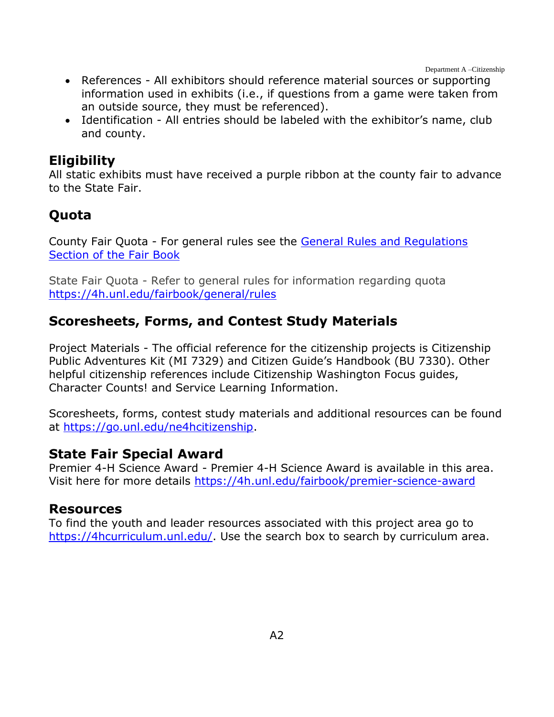Department A –Citizenship

- References All exhibitors should reference material sources or supporting information used in exhibits (i.e., if questions from a game were taken from an outside source, they must be referenced).
- Identification All entries should be labeled with the exhibitor's name, club and county.

# **Eligibility**

All static exhibits must have received a purple ribbon at the county fair to advance to the State Fair.

# **Quota**

County Fair Quota - For general rules see the [General Rules and Regulations](https://unl.box.com/s/e7w1cmzwit0us89x96k1h2gdrs51dsy2)  [Section of the Fair](https://unl.box.com/s/e7w1cmzwit0us89x96k1h2gdrs51dsy2) Book

State Fair Quota - Refer to general rules for information regarding quota <https://4h.unl.edu/fairbook/general/rules>

# **Scoresheets, Forms, and Contest Study Materials**

Project Materials - The official reference for the citizenship projects is Citizenship Public Adventures Kit (MI 7329) and Citizen Guide's Handbook (BU 7330). Other helpful citizenship references include Citizenship Washington Focus guides, Character Counts! and Service Learning Information.

Scoresheets, forms, contest study materials and additional resources can be found at [https://go.unl.edu/ne4hcitizenship.](https://go.unl.edu/ne4hcitizenship)

# **State Fair Special Award**

Premier 4-H Science Award - Premier 4-H Science Award is available in this area. Visit here for more details<https://4h.unl.edu/fairbook/premier-science-award>

### **Resources**

To find the youth and leader resources associated with this project area go to [https://4hcurriculum.unl.edu/.](https://4hcurriculum.unl.edu/) Use the search box to search by curriculum area.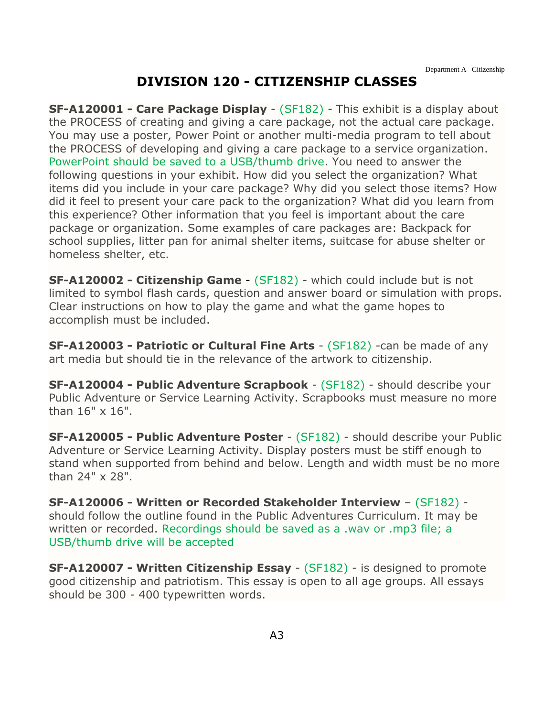# **DIVISION 120 - CITIZENSHIP CLASSES**

<span id="page-3-0"></span>**SF-A120001 - Care Package Display** - (SF182) - This exhibit is a display about the PROCESS of creating and giving a care package, not the actual care package. You may use a poster, Power Point or another multi-media program to tell about the PROCESS of developing and giving a care package to a service organization. PowerPoint should be saved to a USB/thumb drive. You need to answer the following questions in your exhibit. How did you select the organization? What items did you include in your care package? Why did you select those items? How did it feel to present your care pack to the organization? What did you learn from this experience? Other information that you feel is important about the care package or organization. Some examples of care packages are: Backpack for school supplies, litter pan for animal shelter items, suitcase for abuse shelter or homeless shelter, etc.

**SF-A120002 - Citizenship Game** - (SF182) - which could include but is not limited to symbol flash cards, question and answer board or simulation with props. Clear instructions on how to play the game and what the game hopes to accomplish must be included.

**SF-A120003 - Patriotic or Cultural Fine Arts** - (SF182) -can be made of any art media but should tie in the relevance of the artwork to citizenship.

**SF-A120004 - Public Adventure Scrapbook** - (SF182) - should describe your Public Adventure or Service Learning Activity. Scrapbooks must measure no more than 16" x 16".

**SF-A120005 - Public Adventure Poster** - (SF182) - should describe your Public Adventure or Service Learning Activity. Display posters must be stiff enough to stand when supported from behind and below. Length and width must be no more than 24" x 28".

**SF-A120006 - Written or Recorded Stakeholder Interview** – (SF182) should follow the outline found in the Public Adventures Curriculum. It may be written or recorded. Recordings should be saved as a .wav or .mp3 file; a USB/thumb drive will be accepted

**SF-A120007 - Written Citizenship Essay** - (SF182) - is designed to promote good citizenship and patriotism. This essay is open to all age groups. All essays should be 300 - 400 typewritten words.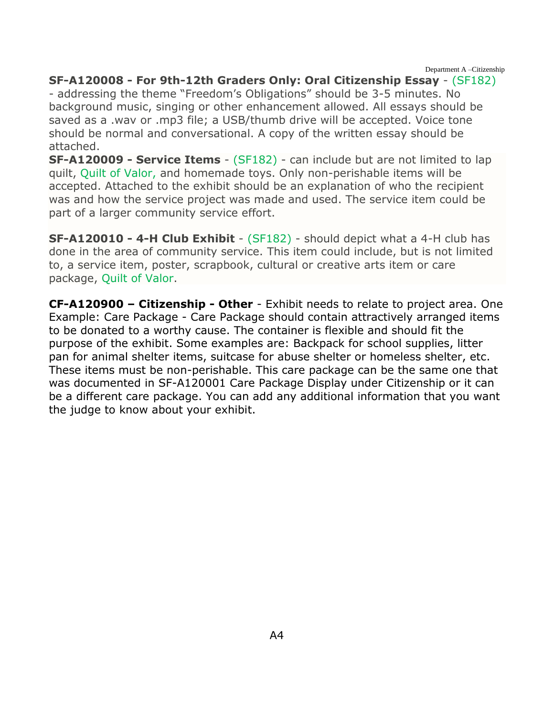Department A –Citizenship

#### **SF-A120008 - For 9th-12th Graders Only: Oral Citizenship Essay** - (SF182)

- addressing the theme "Freedom's Obligations" should be 3-5 minutes. No background music, singing or other enhancement allowed. All essays should be saved as a .wav or .mp3 file; a USB/thumb drive will be accepted. Voice tone should be normal and conversational. A copy of the written essay should be attached.

**SF-A120009 - Service Items** - (SF182) - can include but are not limited to lap quilt, Quilt of Valor, and homemade toys. Only non-perishable items will be accepted. Attached to the exhibit should be an explanation of who the recipient was and how the service project was made and used. The service item could be part of a larger community service effort.

**SF-A120010 - 4-H Club Exhibit** - (SF182) - should depict what a 4-H club has done in the area of community service. This item could include, but is not limited to, a service item, poster, scrapbook, cultural or creative arts item or care package, Quilt of Valor.

**CF-A120900 – Citizenship - Other** - Exhibit needs to relate to project area. One Example: Care Package - Care Package should contain attractively arranged items to be donated to a worthy cause. The container is flexible and should fit the purpose of the exhibit. Some examples are: Backpack for school supplies, litter pan for animal shelter items, suitcase for abuse shelter or homeless shelter, etc. These items must be non-perishable. This care package can be the same one that was documented in SF-A120001 Care Package Display under Citizenship or it can be a different care package. You can add any additional information that you want the judge to know about your exhibit.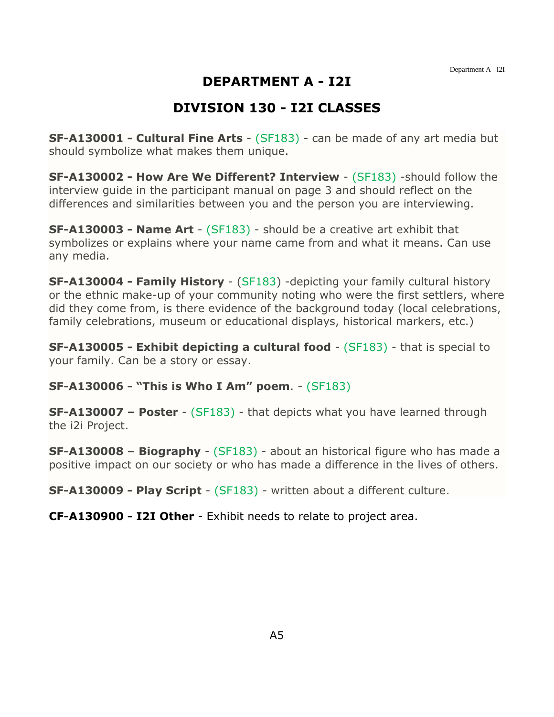# **DEPARTMENT A - I2I**

## **DIVISION 130 - I2I CLASSES**

<span id="page-5-0"></span>**SF-A130001 - Cultural Fine Arts** - (SF183) - can be made of any art media but should symbolize what makes them unique.

**SF-A130002 - How Are We Different? Interview** - (SF183) -should follow the interview guide in the participant manual on page 3 and should reflect on the differences and similarities between you and the person you are interviewing.

**SF-A130003 - Name Art** - (SF183) - should be a creative art exhibit that symbolizes or explains where your name came from and what it means. Can use any media.

**SF-A130004 - Family History** - (SF183) -depicting your family cultural history or the ethnic make-up of your community noting who were the first settlers, where did they come from, is there evidence of the background today (local celebrations, family celebrations, museum or educational displays, historical markers, etc.)

**SF-A130005 - Exhibit depicting a cultural food** - (SF183) - that is special to your family. Can be a story or essay.

**SF-A130006 - "This is Who I Am" poem**. - (SF183)

**SF-A130007 – Poster** - (SF183) - that depicts what you have learned through the i2i Project.

**SF-A130008 – Biography** - (SF183) - about an historical figure who has made a positive impact on our society or who has made a difference in the lives of others.

**SF-A130009 - Play Script** - (SF183) - written about a different culture.

**CF-A130900 - I2I Other** - Exhibit needs to relate to project area.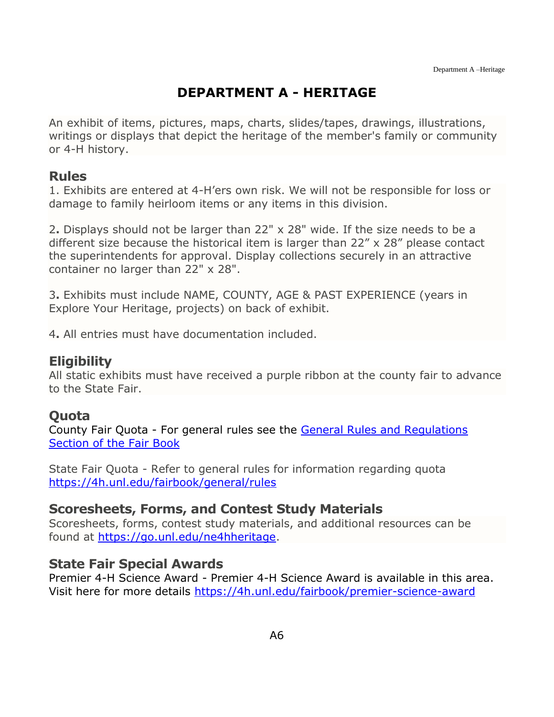# **DEPARTMENT A - HERITAGE**

<span id="page-6-0"></span>An exhibit of items, pictures, maps, charts, slides/tapes, drawings, illustrations, writings or displays that depict the heritage of the member's family or community or 4-H history.

### **Rules**

1. Exhibits are entered at 4-H'ers own risk. We will not be responsible for loss or damage to family heirloom items or any items in this division.

2**.** Displays should not be larger than 22" x 28" wide. If the size needs to be a different size because the historical item is larger than 22" x 28" please contact the superintendents for approval. Display collections securely in an attractive container no larger than 22" x 28".

3**.** Exhibits must include NAME, COUNTY, AGE & PAST EXPERIENCE (years in Explore Your Heritage, projects) on back of exhibit.

4**.** All entries must have documentation included.

### **Eligibility**

All static exhibits must have received a purple ribbon at the county fair to advance to the State Fair.

### **Quota**

County Fair Quota - For general rules see the [General Rules and Regulations](https://unl.box.com/s/e7w1cmzwit0us89x96k1h2gdrs51dsy2)  [Section of the Fair Book](https://unl.box.com/s/e7w1cmzwit0us89x96k1h2gdrs51dsy2)

State Fair Quota - Refer to general rules for information regarding quota <https://4h.unl.edu/fairbook/general/rules>

#### **Scoresheets, Forms, and Contest Study Materials**

Scoresheets, forms, contest study materials, and additional resources can be found at [https://go.unl.edu/ne4hheritage.](https://go.unl.edu/ne4hheritage)

### **State Fair Special Awards**

Premier 4-H Science Award - Premier 4-H Science Award is available in this area. Visit here for more details<https://4h.unl.edu/fairbook/premier-science-award>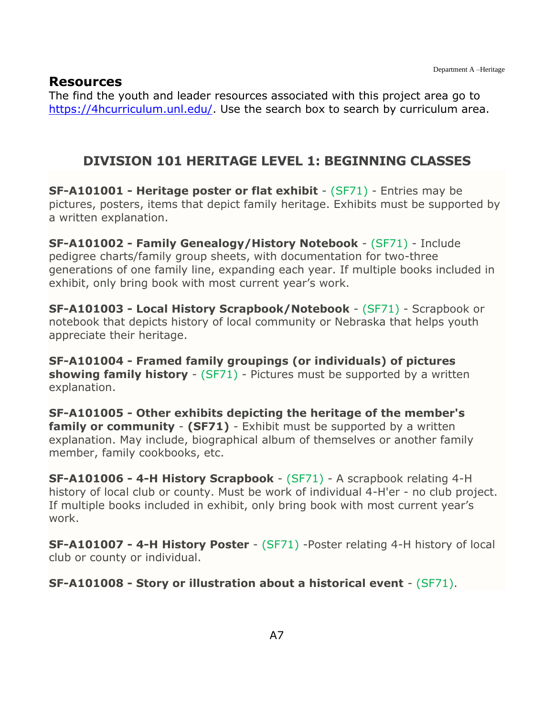#### **Resources**

The find the youth and leader resources associated with this project area go to [https://4hcurriculum.unl.edu/.](https://4hcurriculum.unl.edu/) Use the search box to search by curriculum area.

### <span id="page-7-0"></span>**DIVISION 101 HERITAGE LEVEL 1: BEGINNING CLASSES**

**SF-A101001 - Heritage poster or flat exhibit** - (SF71) - Entries may be pictures, posters, items that depict family heritage. Exhibits must be supported by a written explanation.

**SF-A101002 - Family Genealogy/History Notebook** - (SF71) - Include pedigree charts/family group sheets, with documentation for two-three generations of one family line, expanding each year. If multiple books included in exhibit, only bring book with most current year's work.

**SF-A101003 - Local History Scrapbook/Notebook** - (SF71) - Scrapbook or notebook that depicts history of local community or Nebraska that helps youth appreciate their heritage.

**SF-A101004 - Framed family groupings (or individuals) of pictures showing family history** - (SF71) - Pictures must be supported by a written explanation.

**SF-A101005 - Other exhibits depicting the heritage of the member's family or community - (SF71)** - Exhibit must be supported by a written explanation. May include, biographical album of themselves or another family member, family cookbooks, etc.

**SF-A101006 - 4-H History Scrapbook** - (SF71) - A scrapbook relating 4-H history of local club or county. Must be work of individual 4-H'er - no club project. If multiple books included in exhibit, only bring book with most current year's work.

**SF-A101007 - 4-H History Poster** - (SF71) -Poster relating 4-H history of local club or county or individual.

**SF-A101008 - Story or illustration about a historical event** - (SF71).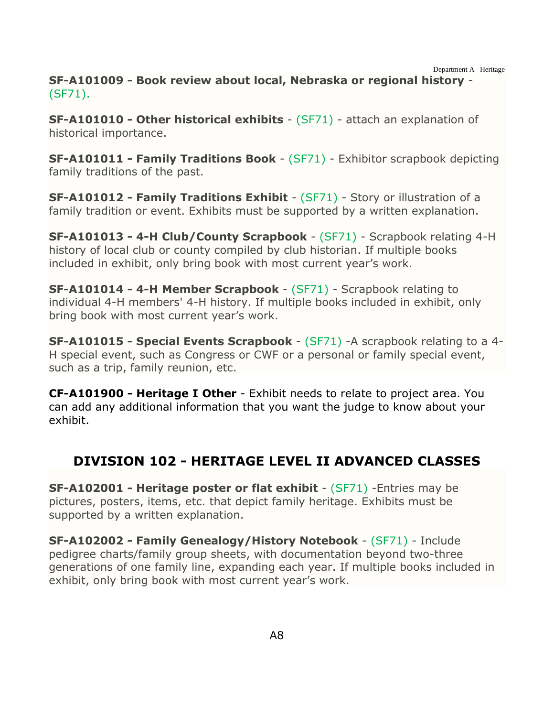Department A –Heritage

**SF-A101009 - Book review about local, Nebraska or regional history** - (SF71).

**SF-A101010 - Other historical exhibits** - (SF71) - attach an explanation of historical importance.

**SF-A101011 - Family Traditions Book** - (SF71) - Exhibitor scrapbook depicting family traditions of the past.

**SF-A101012 - Family Traditions Exhibit** - (SF71) - Story or illustration of a family tradition or event. Exhibits must be supported by a written explanation.

**SF-A101013 - 4-H Club/County Scrapbook** - (SF71) - Scrapbook relating 4-H history of local club or county compiled by club historian. If multiple books included in exhibit, only bring book with most current year's work.

**SF-A101014 - 4-H Member Scrapbook** - (SF71) - Scrapbook relating to individual 4-H members' 4-H history. If multiple books included in exhibit, only bring book with most current year's work.

**SF-A101015 - Special Events Scrapbook** - (SF71) -A scrapbook relating to a 4- H special event, such as Congress or CWF or a personal or family special event, such as a trip, family reunion, etc.

**CF-A101900 - Heritage I Other** - Exhibit needs to relate to project area. You can add any additional information that you want the judge to know about your exhibit.

# <span id="page-8-0"></span>**DIVISION 102 - HERITAGE LEVEL II ADVANCED CLASSES**

**SF-A102001 - Heritage poster or flat exhibit** - (SF71) -Entries may be pictures, posters, items, etc. that depict family heritage. Exhibits must be supported by a written explanation.

**SF-A102002 - Family Genealogy/History Notebook** - (SF71) - Include pedigree charts/family group sheets, with documentation beyond two-three generations of one family line, expanding each year. If multiple books included in exhibit, only bring book with most current year's work.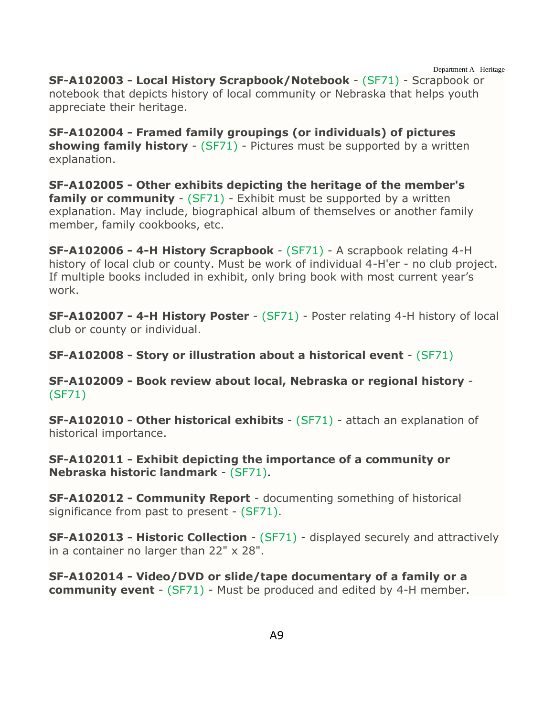Department A –Heritage **SF-A102003 - Local History Scrapbook/Notebook** - (SF71) - Scrapbook or notebook that depicts history of local community or Nebraska that helps youth appreciate their heritage.

**SF-A102004 - Framed family groupings (or individuals) of pictures showing family history** - (SF71) - Pictures must be supported by a written explanation.

**SF-A102005 - Other exhibits depicting the heritage of the member's family or community** - (SF71) - Exhibit must be supported by a written explanation. May include, biographical album of themselves or another family member, family cookbooks, etc.

**SF-A102006 - 4-H History Scrapbook** - (SF71) - A scrapbook relating 4-H history of local club or county. Must be work of individual 4-H'er - no club project. If multiple books included in exhibit, only bring book with most current year's work.

**SF-A102007 - 4-H History Poster** - (SF71) - Poster relating 4-H history of local club or county or individual.

**SF-A102008 - Story or illustration about a historical event** - (SF71)

**SF-A102009 - Book review about local, Nebraska or regional history** - (SF71)

**SF-A102010 - Other historical exhibits** - (SF71) - attach an explanation of historical importance.

**SF-A102011 - Exhibit depicting the importance of a community or Nebraska historic landmark** - (SF71).

**SF-A102012 - Community Report** - documenting something of historical significance from past to present - (SF71).

**SF-A102013 - Historic Collection** - (SF71) - displayed securely and attractively in a container no larger than 22" x 28".

**SF-A102014 - Video/DVD or slide/tape documentary of a family or a community event** - (SF71) - Must be produced and edited by 4-H member.